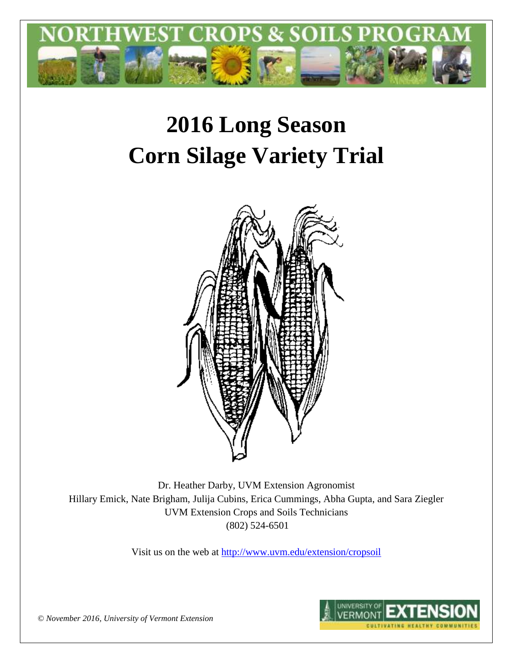

# **2016 Long Season Corn Silage Variety Trial**



Dr. Heather Darby, UVM Extension Agronomist Hillary Emick, Nate Brigham, Julija Cubins, Erica Cummings, Abha Gupta, and Sara Ziegler UVM Extension Crops and Soils Technicians (802) 524-6501

Visit us on the web at <http://www.uvm.edu/extension/cropsoil>



*© November 2016, University of Vermont Extension*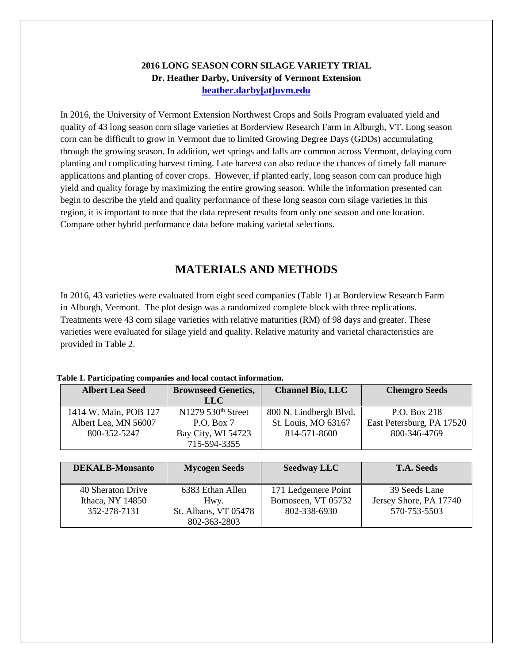## **2016 LONG SEASON CORN SILAGE VARIETY TRIAL Dr. Heather Darby, University of Vermont Extension [heather.darby\[at\]uvm.edu](mailto:heather.darby@uvm.edu?subject=2013%20Long%20Season%20Corn%20Report)**

In 2016, the University of Vermont Extension Northwest Crops and Soils Program evaluated yield and quality of 43 long season corn silage varieties at Borderview Research Farm in Alburgh, VT. Long season corn can be difficult to grow in Vermont due to limited Growing Degree Days (GDDs) accumulating through the growing season. In addition, wet springs and falls are common across Vermont, delaying corn planting and complicating harvest timing. Late harvest can also reduce the chances of timely fall manure applications and planting of cover crops. However, if planted early, long season corn can produce high yield and quality forage by maximizing the entire growing season. While the information presented can begin to describe the yield and quality performance of these long season corn silage varieties in this region, it is important to note that the data represent results from only one season and one location. Compare other hybrid performance data before making varietal selections.

# **MATERIALS AND METHODS**

In 2016, 43 varieties were evaluated from eight seed companies (Table 1) at Borderview Research Farm in Alburgh, Vermont. The plot design was a randomized complete block with three replications. Treatments were 43 corn silage varieties with relative maturities (RM) of 98 days and greater. These varieties were evaluated for silage yield and quality. Relative maturity and varietal characteristics are provided in Table 2.

### **Table 1. Participating companies and local contact information.**

| <b>Brownseed Genetics,</b><br><b>Albert Lea Seed</b> |                                  | <b>Channel Bio, LLC</b> | <b>Chemgro Seeds</b>      |  |  |
|------------------------------------------------------|----------------------------------|-------------------------|---------------------------|--|--|
|                                                      | LLC                              |                         |                           |  |  |
| 1414 W. Main, POB 127                                | $N1279$ 530 <sup>th</sup> Street | 800 N. Lindbergh Blvd.  | P.O. Box 218              |  |  |
| Albert Lea, MN 56007                                 | P.O. Box 7                       | St. Louis, MO 63167     | East Petersburg, PA 17520 |  |  |
| 800-352-5247                                         | Bay City, WI 54723               | 814-571-8600            | 800-346-4769              |  |  |
|                                                      | 715-594-3355                     |                         |                           |  |  |

| <b>DEKALB-Monsanto</b>                | <b>Mycogen Seeds</b>                 | <b>Seedway LLC</b>                        | <b>T.A. Seeds</b>                       |
|---------------------------------------|--------------------------------------|-------------------------------------------|-----------------------------------------|
| 40 Sheraton Drive<br>Ithaca, NY 14850 | 6383 Ethan Allen<br>Hwy.             | 171 Ledgemere Point<br>Bomoseen, VT 05732 | 39 Seeds Lane<br>Jersey Shore, PA 17740 |
| 352-278-7131                          | St. Albans, VT 05478<br>802-363-2803 | 802-338-6930                              | 570-753-5503                            |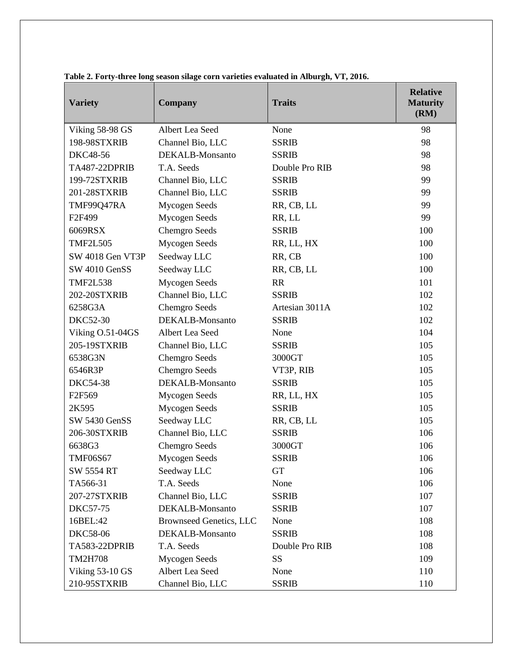| <b>Variety</b>       | <b>Company</b>                 | <b>Traits</b>  | <b>Relative</b><br><b>Maturity</b><br>(RM) |
|----------------------|--------------------------------|----------------|--------------------------------------------|
| Viking 58-98 GS      | Albert Lea Seed                | None           | 98                                         |
| 198-98STXRIB         | Channel Bio, LLC               | <b>SSRIB</b>   | 98                                         |
| DKC48-56             | DEKALB-Monsanto                | <b>SSRIB</b>   | 98                                         |
| <b>TA487-22DPRIB</b> | T.A. Seeds                     | Double Pro RIB | 98                                         |
| 199-72STXRIB         | Channel Bio, LLC               | <b>SSRIB</b>   | 99                                         |
| 201-28STXRIB         | Channel Bio, LLC               | <b>SSRIB</b>   | 99                                         |
| TMF99Q47RA           | <b>Mycogen Seeds</b>           | RR, CB, LL     | 99                                         |
| F2F499               | Mycogen Seeds                  | RR, LL         | 99                                         |
| 6069RSX              | <b>Chemgro Seeds</b>           | <b>SSRIB</b>   | 100                                        |
| <b>TMF2L505</b>      | <b>Mycogen Seeds</b>           | RR, LL, HX     | 100                                        |
| SW 4018 Gen VT3P     | Seedway LLC                    | RR, CB         | 100                                        |
| SW 4010 GenSS        | Seedway LLC                    | RR, CB, LL     | 100                                        |
| <b>TMF2L538</b>      | Mycogen Seeds                  | <b>RR</b>      | 101                                        |
| 202-20STXRIB         | Channel Bio, LLC               | <b>SSRIB</b>   | 102                                        |
| 6258G3A              | <b>Chemgro Seeds</b>           | Artesian 3011A | 102                                        |
| DKC52-30             | DEKALB-Monsanto                | <b>SSRIB</b>   | 102                                        |
| Viking O.51-04GS     | Albert Lea Seed                | None           | 104                                        |
| 205-19STXRIB         | Channel Bio, LLC               | <b>SSRIB</b>   | 105                                        |
| 6538G3N              | <b>Chemgro Seeds</b>           | 3000GT         | 105                                        |
| 6546R3P              | Chemgro Seeds                  | VT3P, RIB      | 105                                        |
| <b>DKC54-38</b>      | DEKALB-Monsanto                | <b>SSRIB</b>   | 105                                        |
| F2F569               | <b>Mycogen Seeds</b>           | RR, LL, HX     | 105                                        |
| 2K595                | Mycogen Seeds                  | <b>SSRIB</b>   | 105                                        |
| SW 5430 GenSS        | Seedway LLC                    | RR, CB, LL     | 105                                        |
| 206-30STXRIB         | Channel Bio, LLC               | <b>SSRIB</b>   | 106                                        |
| 6638G3               | <b>Chemgro Seeds</b>           | 3000GT         | 106                                        |
| <b>TMF06S67</b>      | <b>Mycogen Seeds</b>           | <b>SSRIB</b>   | 106                                        |
| <b>SW 5554 RT</b>    | Seedway LLC                    | <b>GT</b>      | 106                                        |
| TA566-31             | T.A. Seeds                     | None           | 106                                        |
| 207-27STXRIB         | Channel Bio, LLC               | <b>SSRIB</b>   | 107                                        |
| <b>DKC57-75</b>      | DEKALB-Monsanto                | <b>SSRIB</b>   | 107                                        |
| 16BEL:42             | <b>Brownseed Genetics, LLC</b> | None           | 108                                        |
| <b>DKC58-06</b>      | DEKALB-Monsanto                | <b>SSRIB</b>   | 108                                        |
| TA583-22DPRIB        | T.A. Seeds                     | Double Pro RIB | 108                                        |
| <b>TM2H708</b>       | <b>Mycogen Seeds</b>           | SS             | 109                                        |
| Viking 53-10 GS      | Albert Lea Seed                | None           | 110                                        |
| 210-95STXRIB         | Channel Bio, LLC               | <b>SSRIB</b>   | 110                                        |

**Table 2. Forty-three long season silage corn varieties evaluated in Alburgh, VT, 2016.**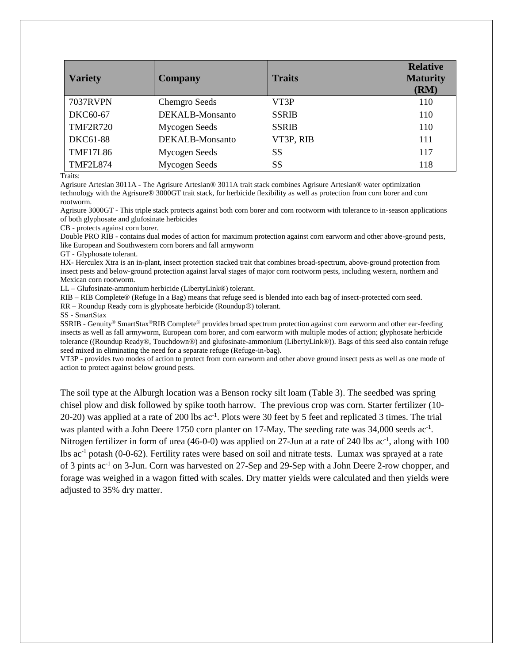| <b>Variety</b>  | <b>Company</b>       | <b>Traits</b> | <b>Relative</b><br><b>Maturity</b><br>(RM) |
|-----------------|----------------------|---------------|--------------------------------------------|
| <b>7037RVPN</b> | <b>Chemgro Seeds</b> | VT3P          | 110                                        |
| DKC60-67        | DEKALB-Monsanto      | <b>SSRIB</b>  | 110                                        |
| <b>TMF2R720</b> | Mycogen Seeds        | <b>SSRIB</b>  | 110                                        |
| DKC61-88        | DEKALB-Monsanto      | VT3P, RIB     | 111                                        |
| <b>TMF17L86</b> | Mycogen Seeds        | SS            | 117                                        |
| <b>TMF2L874</b> | Mycogen Seeds        | SS            | 118                                        |

Traits:

Agrisure Artesian 3011A - The Agrisure Artesian® 3011A trait stack combines Agrisure Artesian® water optimization technology with the Agrisure® 3000GT trait stack, for herbicide flexibility as well as protection from corn borer and corn rootworm.

Agrisure 3000GT - This triple stack protects against both corn borer and corn rootworm with tolerance to in-season applications of both glyphosate and glufosinate herbicides

CB - protects against corn borer.

Double PRO RIB - contains dual modes of action for maximum protection against corn earworm and other above-ground pests, like European and Southwestern corn borers and fall armyworm

GT - Glyphosate tolerant.

HX- Herculex Xtra is an in-plant, insect protection stacked trait that combines broad-spectrum, above-ground protection from insect pests and below-ground protection against larval stages of major corn rootworm pests, including western, northern and Mexican corn rootworm.

LL – Glufosinate-ammonium herbicide (LibertyLink®) tolerant.

RIB – RIB Complete® (Refuge In a Bag) means that refuge seed is blended into each bag of insect-protected corn seed.

 $RR - Roundup$  Ready corn is glyphosate herbicide (Roundup $\circledR$ ) tolerant.

SS - SmartStax

SSRIB - Genuity® SmartStax®RIB Complete® provides broad spectrum protection against corn earworm and other ear-feeding insects as well as fall armyworm, European corn borer, and corn earworm with multiple modes of action; glyphosate herbicide tolerance ((Roundup Ready®, Touchdown®) and glufosinate-ammonium (LibertyLink®)). Bags of this seed also contain refuge seed mixed in eliminating the need for a separate refuge (Refuge-in-bag).

VT3P - provides two modes of action to protect from corn earworm and other above ground insect pests as well as one mode of action to protect against below ground pests.

The soil type at the Alburgh location was a Benson rocky silt loam (Table 3). The seedbed was spring chisel plow and disk followed by spike tooth harrow. The previous crop was corn. Starter fertilizer (10- 20-20) was applied at a rate of 200 lbs ac<sup>-1</sup>. Plots were 30 feet by 5 feet and replicated 3 times. The trial was planted with a John Deere 1750 corn planter on 17-May. The seeding rate was 34,000 seeds ac<sup>-1</sup>. Nitrogen fertilizer in form of urea (46-0-0) was applied on 27-Jun at a rate of 240 lbs ac<sup>-1</sup>, along with 100 lbs ac-1 potash (0-0-62). Fertility rates were based on soil and nitrate tests. Lumax was sprayed at a rate of 3 pints ac-1 on 3-Jun. Corn was harvested on 27-Sep and 29-Sep with a John Deere 2-row chopper, and forage was weighed in a wagon fitted with scales. Dry matter yields were calculated and then yields were adjusted to 35% dry matter.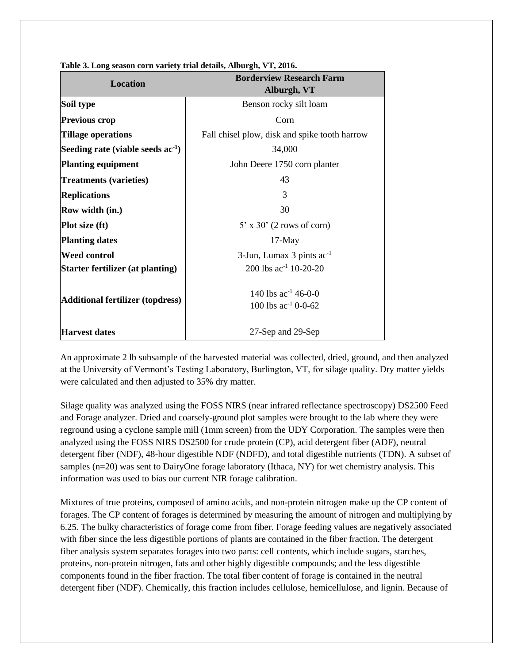| <b>Location</b>                         | <b>Borderview Research Farm</b><br>Alburgh, VT       |  |  |  |  |
|-----------------------------------------|------------------------------------------------------|--|--|--|--|
| Soil type                               | Benson rocky silt loam                               |  |  |  |  |
| <b>Previous crop</b>                    | Corn                                                 |  |  |  |  |
| Tillage operations                      | Fall chisel plow, disk and spike tooth harrow        |  |  |  |  |
| Seeding rate (viable seeds $ac-1$ )     | 34,000                                               |  |  |  |  |
| <b>Planting equipment</b>               | John Deere 1750 corn planter                         |  |  |  |  |
| <b>Treatments (varieties)</b>           | 43                                                   |  |  |  |  |
| <b>Replications</b>                     | 3                                                    |  |  |  |  |
| Row width (in.)                         | 30                                                   |  |  |  |  |
| <b>Plot size (ft)</b>                   | $5'$ x 30' (2 rows of corn)                          |  |  |  |  |
| <b>Planting dates</b>                   | $17-May$                                             |  |  |  |  |
| <b>Weed control</b>                     | $3$ -Jun, Lumax 3 pints ac <sup>-1</sup>             |  |  |  |  |
| Starter fertilizer (at planting)        | 200 lbs $ac^{-1}$ 10-20-20                           |  |  |  |  |
| <b>Additional fertilizer (topdress)</b> | 140 lbs $ac^{-1}$ 46-0-0<br>100 lbs $ac^{-1}$ 0-0-62 |  |  |  |  |
| <b>Harvest dates</b>                    | 27-Sep and 29-Sep                                    |  |  |  |  |

**Table 3. Long season corn variety trial details, Alburgh, VT, 2016.**

An approximate 2 lb subsample of the harvested material was collected, dried, ground, and then analyzed at the University of Vermont's Testing Laboratory, Burlington, VT, for silage quality. Dry matter yields were calculated and then adjusted to 35% dry matter.

Silage quality was analyzed using the FOSS NIRS (near infrared reflectance spectroscopy) DS2500 Feed and Forage analyzer. Dried and coarsely-ground plot samples were brought to the lab where they were reground using a cyclone sample mill (1mm screen) from the UDY Corporation. The samples were then analyzed using the FOSS NIRS DS2500 for crude protein (CP), acid detergent fiber (ADF), neutral detergent fiber (NDF), 48-hour digestible NDF (NDFD), and total digestible nutrients (TDN). A subset of samples (n=20) was sent to DairyOne forage laboratory (Ithaca, NY) for wet chemistry analysis. This information was used to bias our current NIR forage calibration.

Mixtures of true proteins, composed of amino acids, and non-protein nitrogen make up the CP content of forages. The CP content of forages is determined by measuring the amount of nitrogen and multiplying by 6.25. The bulky characteristics of forage come from fiber. Forage feeding values are negatively associated with fiber since the less digestible portions of plants are contained in the fiber fraction. The detergent fiber analysis system separates forages into two parts: cell contents, which include sugars, starches, proteins, non-protein nitrogen, fats and other highly digestible compounds; and the less digestible components found in the fiber fraction. The total fiber content of forage is contained in the neutral detergent fiber (NDF). Chemically, this fraction includes cellulose, hemicellulose, and lignin. Because of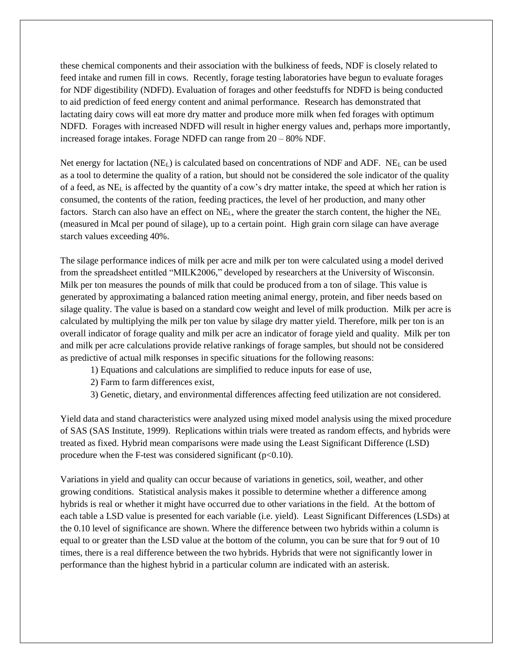these chemical components and their association with the bulkiness of feeds, NDF is closely related to feed intake and rumen fill in cows. Recently, forage testing laboratories have begun to evaluate forages for NDF digestibility (NDFD). Evaluation of forages and other feedstuffs for NDFD is being conducted to aid prediction of feed energy content and animal performance. Research has demonstrated that lactating dairy cows will eat more dry matter and produce more milk when fed forages with optimum NDFD. Forages with increased NDFD will result in higher energy values and, perhaps more importantly, increased forage intakes. Forage NDFD can range from 20 – 80% NDF.

Net energy for lactation  $(NE_L)$  is calculated based on concentrations of NDF and ADF. NE<sub>L</sub> can be used as a tool to determine the quality of a ration, but should not be considered the sole indicator of the quality of a feed, as NE<sup>L</sup> is affected by the quantity of a cow's dry matter intake, the speed at which her ration is consumed, the contents of the ration, feeding practices, the level of her production, and many other factors. Starch can also have an effect on NE<sub>L</sub>, where the greater the starch content, the higher the NE<sub>L</sub> (measured in Mcal per pound of silage), up to a certain point. High grain corn silage can have average starch values exceeding 40%.

The silage performance indices of milk per acre and milk per ton were calculated using a model derived from the spreadsheet entitled "MILK2006," developed by researchers at the University of Wisconsin. Milk per ton measures the pounds of milk that could be produced from a ton of silage. This value is generated by approximating a balanced ration meeting animal energy, protein, and fiber needs based on silage quality. The value is based on a standard cow weight and level of milk production. Milk per acre is calculated by multiplying the milk per ton value by silage dry matter yield. Therefore, milk per ton is an overall indicator of forage quality and milk per acre an indicator of forage yield and quality. Milk per ton and milk per acre calculations provide relative rankings of forage samples, but should not be considered as predictive of actual milk responses in specific situations for the following reasons:

- 1) Equations and calculations are simplified to reduce inputs for ease of use,
- 2) Farm to farm differences exist,
- 3) Genetic, dietary, and environmental differences affecting feed utilization are not considered.

Yield data and stand characteristics were analyzed using mixed model analysis using the mixed procedure of SAS (SAS Institute, 1999). Replications within trials were treated as random effects, and hybrids were treated as fixed. Hybrid mean comparisons were made using the Least Significant Difference (LSD) procedure when the F-test was considered significant  $(p<0.10)$ .

Variations in yield and quality can occur because of variations in genetics, soil, weather, and other growing conditions. Statistical analysis makes it possible to determine whether a difference among hybrids is real or whether it might have occurred due to other variations in the field. At the bottom of each table a LSD value is presented for each variable (i.e. yield). Least Significant Differences (LSDs) at the 0.10 level of significance are shown. Where the difference between two hybrids within a column is equal to or greater than the LSD value at the bottom of the column, you can be sure that for 9 out of 10 times, there is a real difference between the two hybrids. Hybrids that were not significantly lower in performance than the highest hybrid in a particular column are indicated with an asterisk.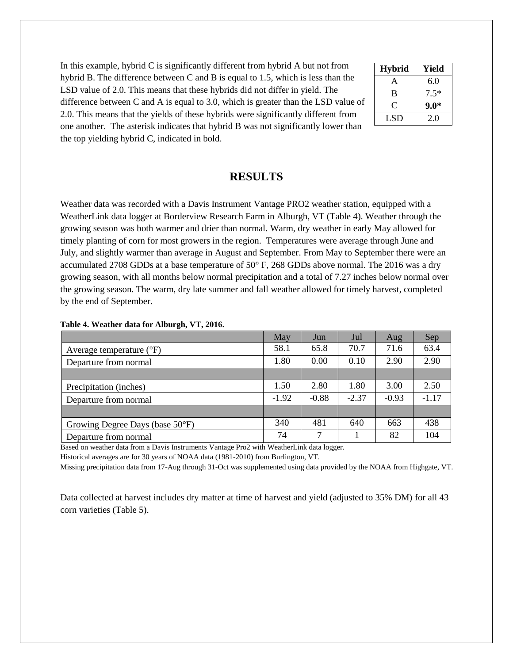In this example, hybrid C is significantly different from hybrid A but not from hybrid B. The difference between C and B is equal to 1.5, which is less than the LSD value of 2.0. This means that these hybrids did not differ in yield. The difference between C and A is equal to 3.0, which is greater than the LSD value of 2.0. This means that the yields of these hybrids were significantly different from one another. The asterisk indicates that hybrid B was not significantly lower than the top yielding hybrid C, indicated in bold.

| <b>Hybrid</b>  | Yield  |
|----------------|--------|
| A              | 6.0    |
| B              | $7.5*$ |
| $\mathfrak{C}$ | $9.0*$ |
| LSD            | 2.0    |

## **RESULTS**

Weather data was recorded with a Davis Instrument Vantage PRO2 weather station, equipped with a WeatherLink data logger at Borderview Research Farm in Alburgh, VT (Table 4). Weather through the growing season was both warmer and drier than normal. Warm, dry weather in early May allowed for timely planting of corn for most growers in the region. Temperatures were average through June and July, and slightly warmer than average in August and September. From May to September there were an accumulated 2708 GDDs at a base temperature of 50° F, 268 GDDs above normal. The 2016 was a dry growing season, with all months below normal precipitation and a total of 7.27 inches below normal over the growing season. The warm, dry late summer and fall weather allowed for timely harvest, completed by the end of September.

|                                     | May     | Jun     | Jul     | Aug     | Sep     |
|-------------------------------------|---------|---------|---------|---------|---------|
| Average temperature $({}^{\circ}F)$ | 58.1    | 65.8    | 70.7    | 71.6    | 63.4    |
| Departure from normal               | 1.80    | 0.00    | 0.10    | 2.90    | 2.90    |
|                                     |         |         |         |         |         |
| Precipitation (inches)              | 1.50    | 2.80    | 1.80    | 3.00    | 2.50    |
| Departure from normal               | $-1.92$ | $-0.88$ | $-2.37$ | $-0.93$ | $-1.17$ |
|                                     |         |         |         |         |         |
| Growing Degree Days (base 50°F)     | 340     | 481     | 640     | 663     | 438     |
| Departure from normal               | 74      | 7       |         | 82      | 104     |

#### **Table 4. Weather data for Alburgh, VT, 2016.**

Based on weather data from a Davis Instruments Vantage Pro2 with WeatherLink data logger.

Historical averages are for 30 years of NOAA data (1981-2010) from Burlington, VT.

Missing precipitation data from 17-Aug through 31-Oct was supplemented using data provided by the NOAA from Highgate, VT.

Data collected at harvest includes dry matter at time of harvest and yield (adjusted to 35% DM) for all 43 corn varieties (Table 5).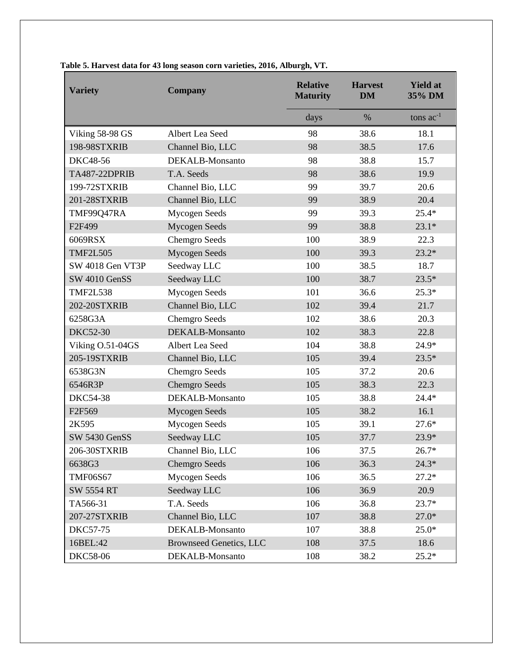| <b>Variety</b>       | <b>Company</b>                 | <b>Relative</b><br><b>Maturity</b> | <b>Harvest</b><br><b>DM</b> | <b>Yield at</b><br>35% DM |
|----------------------|--------------------------------|------------------------------------|-----------------------------|---------------------------|
|                      |                                | days                               | $\%$                        | tons $ac^{-1}$            |
| Viking 58-98 GS      | Albert Lea Seed                | 98                                 | 38.6                        | 18.1                      |
| 198-98STXRIB         | Channel Bio, LLC               | 98                                 | 38.5                        | 17.6                      |
| <b>DKC48-56</b>      | DEKALB-Monsanto                | 98                                 | 38.8                        | 15.7                      |
| <b>TA487-22DPRIB</b> | T.A. Seeds                     | 98                                 | 38.6                        | 19.9                      |
| 199-72STXRIB         | Channel Bio, LLC               | 99                                 | 39.7                        | 20.6                      |
| 201-28STXRIB         | Channel Bio, LLC               | 99                                 | 38.9                        | 20.4                      |
| TMF99Q47RA           | <b>Mycogen Seeds</b>           | 99                                 | 39.3                        | 25.4*                     |
| F2F499               | <b>Mycogen Seeds</b>           | 99                                 | 38.8                        | $23.1*$                   |
| 6069RSX              | Chemgro Seeds                  | 100                                | 38.9                        | 22.3                      |
| <b>TMF2L505</b>      | <b>Mycogen Seeds</b>           | 100                                | 39.3                        | $23.2*$                   |
| SW 4018 Gen VT3P     | Seedway LLC                    | 100                                | 38.5                        | 18.7                      |
| SW 4010 GenSS        | Seedway LLC                    | 100                                | 38.7                        | $23.5*$                   |
| <b>TMF2L538</b>      | <b>Mycogen Seeds</b>           | 101                                | 36.6                        | $25.3*$                   |
| 202-20STXRIB         | Channel Bio, LLC               | 102                                | 39.4                        | 21.7                      |
| 6258G3A              | <b>Chemgro Seeds</b>           | 102                                | 38.6                        | 20.3                      |
| <b>DKC52-30</b>      | DEKALB-Monsanto                | 102                                | 38.3                        | 22.8                      |
| Viking O.51-04GS     | Albert Lea Seed                | 104                                | 38.8                        | 24.9*                     |
| 205-19STXRIB         | Channel Bio, LLC               | 105                                | 39.4                        | $23.5*$                   |
| 6538G3N              | <b>Chemgro Seeds</b>           | 105                                | 37.2                        | 20.6                      |
| 6546R3P              | <b>Chemgro Seeds</b>           | 105                                | 38.3                        | 22.3                      |
| <b>DKC54-38</b>      | DEKALB-Monsanto                | 105                                | 38.8                        | $24.4*$                   |
| F2F569               | Mycogen Seeds                  | 105                                | 38.2                        | 16.1                      |
| 2K595                | Mycogen Seeds                  | 105                                | 39.1                        | $27.6*$                   |
| SW 5430 GenSS        | Seedway LLC                    | 105                                | 37.7                        | 23.9*                     |
| 206-30STXRIB         | Channel Bio, LLC               | 106                                | 37.5                        | $26.7*$                   |
| 6638G3               | <b>Chemgro Seeds</b>           | 106                                | 36.3                        | $24.3*$                   |
| <b>TMF06S67</b>      | Mycogen Seeds                  | 106                                | 36.5                        | $27.2*$                   |
| <b>SW 5554 RT</b>    | Seedway LLC                    | 106                                | 36.9                        | 20.9                      |
| TA566-31             | T.A. Seeds                     | 106                                | 36.8                        | $23.7*$                   |
| 207-27STXRIB         | Channel Bio, LLC               | 107                                | 38.8                        | $27.0*$                   |
| <b>DKC57-75</b>      | DEKALB-Monsanto                | 107                                | 38.8                        | $25.0*$                   |
| 16BEL:42             | <b>Brownseed Genetics, LLC</b> | 108                                | 37.5                        | 18.6                      |
| <b>DKC58-06</b>      | DEKALB-Monsanto                | 108                                | 38.2                        | $25.2*$                   |

## **Table 5. Harvest data for 43 long season corn varieties, 2016, Alburgh, VT.**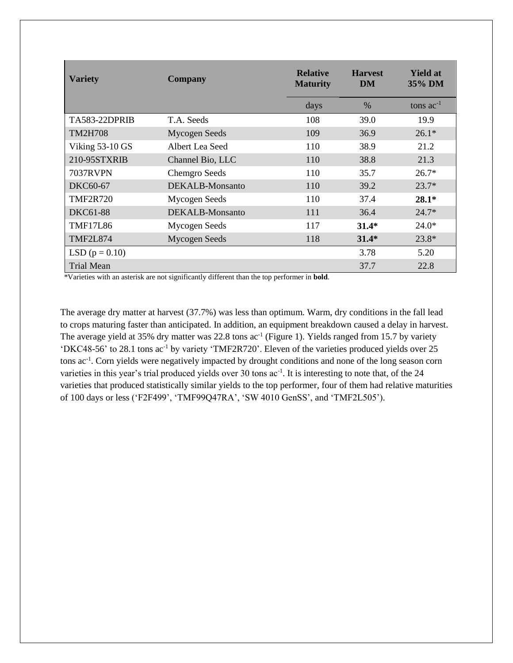| <b>Variety</b>       | Company              | <b>Relative</b><br><b>Maturity</b> | <b>Harvest</b><br>DM | <b>Yield at</b><br>35% DM |  |
|----------------------|----------------------|------------------------------------|----------------------|---------------------------|--|
|                      |                      | days                               | $\%$                 | tons $ac^{-1}$            |  |
| <b>TA583-22DPRIB</b> | T.A. Seeds           | 108                                | 39.0                 | 19.9                      |  |
| <b>TM2H708</b>       | <b>Mycogen Seeds</b> | 109                                | 36.9                 | $26.1*$                   |  |
| Viking 53-10 GS      | Albert Lea Seed      | 110                                | 38.9                 | 21.2                      |  |
| 210-95STXRIB         | Channel Bio, LLC     | 110                                | 38.8                 | 21.3                      |  |
| <b>7037RVPN</b>      | <b>Chemgro Seeds</b> | 110                                | 35.7                 | $26.7*$                   |  |
| <b>DKC60-67</b>      | DEKAL B-Monsanto     | 110                                | 39.2                 | $23.7*$                   |  |
| <b>TMF2R720</b>      | <b>Mycogen Seeds</b> | 110                                | 37.4                 | $28.1*$                   |  |
| DKC61-88             | DEKALB-Monsanto      | 111                                | 36.4                 | $24.7*$                   |  |
| <b>TMF17L86</b>      | Mycogen Seeds        | 117                                | $31.4*$              | $24.0*$                   |  |
| <b>TMF2L874</b>      | <b>Mycogen Seeds</b> | 118                                | $31.4*$              | $23.8*$                   |  |
| LSD $(p = 0.10)$     |                      |                                    | 3.78                 | 5.20                      |  |
| <b>Trial Mean</b>    |                      |                                    | 37.7                 | 22.8                      |  |

\*Varieties with an asterisk are not significantly different than the top performer in **bold**.

The average dry matter at harvest (37.7%) was less than optimum. Warm, dry conditions in the fall lead to crops maturing faster than anticipated. In addition, an equipment breakdown caused a delay in harvest. The average yield at 35% dry matter was 22.8 tons ac<sup>-1</sup> (Figure 1). Yields ranged from 15.7 by variety 'DKC48-56' to 28.1 tons ac-1 by variety 'TMF2R720'. Eleven of the varieties produced yields over 25 tons ac-1 . Corn yields were negatively impacted by drought conditions and none of the long season corn varieties in this year's trial produced yields over 30 tons ac<sup>-1</sup>. It is interesting to note that, of the 24 varieties that produced statistically similar yields to the top performer, four of them had relative maturities of 100 days or less ('F2F499', 'TMF99Q47RA', 'SW 4010 GenSS', and 'TMF2L505').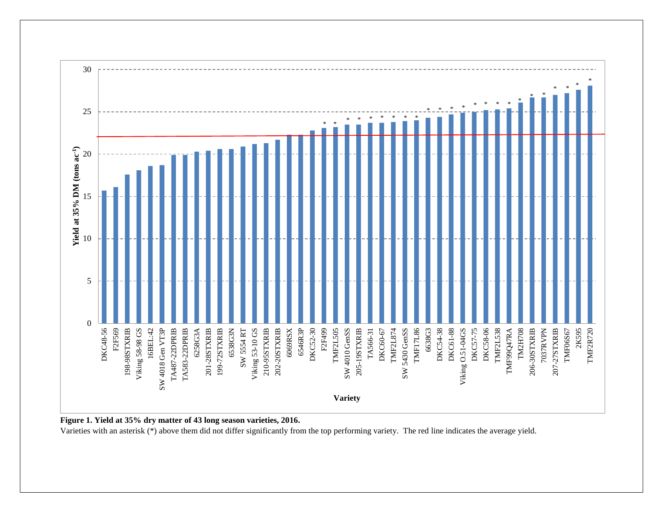

**Figure 1. Yield at 35% dry matter of 43 long season varieties, 2016.**

Varieties with an asterisk (\*) above them did not differ significantly from the top performing variety. The red line indicates the average yield.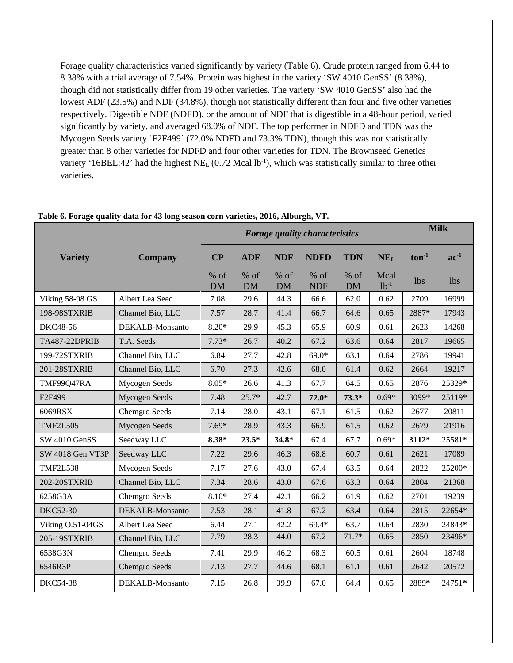Forage quality characteristics varied significantly by variety (Table 6). Crude protein ranged from 6.44 to 8.38% with a trial average of 7.54%. Protein was highest in the variety 'SW 4010 GenSS' (8.38%), though did not statistically differ from 19 other varieties. The variety 'SW 4010 GenSS' also had the lowest ADF (23.5%) and NDF (34.8%), though not statistically different than four and five other varieties respectively. Digestible NDF (NDFD), or the amount of NDF that is digestible in a 48-hour period, varied significantly by variety, and averaged 68.0% of NDF. The top performer in NDFD and TDN was the Mycogen Seeds variety 'F2F499' (72.0% NDFD and 73.3% TDN), though this was not statistically greater than 8 other varieties for NDFD and four other varieties for TDN. The Brownseed Genetics variety '16BEL:42' had the highest  $NE<sub>L</sub>$  (0.72 Mcal lb<sup>-1</sup>), which was statistically similar to three other varieties.

|                    |                        | <b>Forage quality characteristics</b> |                     |                     |                      |                     |                   | <b>Milk</b> |            |  |
|--------------------|------------------------|---------------------------------------|---------------------|---------------------|----------------------|---------------------|-------------------|-------------|------------|--|
| <b>Variety</b>     | <b>Company</b>         | CP                                    | <b>ADF</b>          | <b>NDF</b>          | <b>NDFD</b>          | <b>TDN</b>          | NE <sub>L</sub>   | $ton-1$     | $ac^{-1}$  |  |
|                    |                        | % of<br><b>DM</b>                     | $%$ of<br><b>DM</b> | $%$ of<br><b>DM</b> | $%$ of<br><b>NDF</b> | $%$ of<br><b>DM</b> | Mcal<br>$1b^{-1}$ | lbs         | <i>lbs</i> |  |
| Viking 58-98 GS    | Albert Lea Seed        | 7.08                                  | 29.6                | 44.3                | 66.6                 | 62.0                | 0.62              | 2709        | 16999      |  |
| 198-98STXRIB       | Channel Bio, LLC       | 7.57                                  | 28.7                | 41.4                | 66.7                 | 64.6                | 0.65              | 2887*       | 17943      |  |
| DKC48-56           | DEKALB-Monsanto        | $8.20*$                               | 29.9                | 45.3                | 65.9                 | 60.9                | 0.61              | 2623        | 14268      |  |
| TA487-22DPRIB      | T.A. Seeds             | $7.73*$                               | 26.7                | 40.2                | 67.2                 | 63.6                | 0.64              | 2817        | 19665      |  |
| 199-72STXRIB       | Channel Bio, LLC       | 6.84                                  | 27.7                | 42.8                | $69.0*$              | 63.1                | 0.64              | 2786        | 19941      |  |
| 201-28STXRIB       | Channel Bio, LLC       | 6.70                                  | 27.3                | 42.6                | 68.0                 | 61.4                | 0.62              | 2664        | 19217      |  |
| TMF99Q47RA         | Mycogen Seeds          | $8.05*$                               | 26.6                | 41.3                | 67.7                 | 64.5                | 0.65              | 2876        | 25329*     |  |
| F <sub>2F499</sub> | Mycogen Seeds          | 7.48                                  | $25.7*$             | 42.7                | $72.0*$              | $73.3*$             | $0.69*$           | 3099*       | 25119*     |  |
| 6069RSX            | Chemgro Seeds          | 7.14                                  | 28.0                | 43.1                | 67.1                 | 61.5                | 0.62              | 2677        | 20811      |  |
| <b>TMF2L505</b>    | Mycogen Seeds          | 7.69*                                 | 28.9                | 43.3                | 66.9                 | 61.5                | 0.62              | 2679        | 21916      |  |
| SW 4010 GenSS      | Seedway LLC            | $8.38*$                               | $23.5*$             | $34.8*$             | 67.4                 | 67.7                | $0.69*$           | 3112*       | 25581*     |  |
| SW 4018 Gen VT3P   | Seedway LLC            | 7.22                                  | 29.6                | 46.3                | 68.8                 | 60.7                | 0.61              | 2621        | 17089      |  |
| <b>TMF2L538</b>    | Mycogen Seeds          | 7.17                                  | 27.6                | 43.0                | 67.4                 | 63.5                | 0.64              | 2822        | 25200*     |  |
| 202-20STXRIB       | Channel Bio, LLC       | 7.34                                  | 28.6                | 43.0                | 67.6                 | 63.3                | 0.64              | 2804        | 21368      |  |
| 6258G3A            | Chemgro Seeds          | $8.10*$                               | 27.4                | 42.1                | 66.2                 | 61.9                | 0.62              | 2701        | 19239      |  |
| <b>DKC52-30</b>    | <b>DEKALB-Monsanto</b> | 7.53                                  | 28.1                | 41.8                | 67.2                 | 63.4                | 0.64              | 2815        | 22654*     |  |
| Viking O.51-04GS   | Albert Lea Seed        | 6.44                                  | 27.1                | 42.2                | $69.4*$              | 63.7                | 0.64              | 2830        | 24843*     |  |
| 205-19STXRIB       | Channel Bio, LLC       | 7.79                                  | 28.3                | 44.0                | 67.2                 | $71.7*$             | 0.65              | 2850        | 23496*     |  |
| 6538G3N            | Chemgro Seeds          | 7.41                                  | 29.9                | 46.2                | 68.3                 | 60.5                | 0.61              | 2604        | 18748      |  |
| 6546R3P            | Chemgro Seeds          | 7.13                                  | 27.7                | 44.6                | 68.1                 | 61.1                | 0.61              | 2642        | 20572      |  |
| <b>DKC54-38</b>    | DEKALB-Monsanto        | 7.15                                  | 26.8                | 39.9                | 67.0                 | 64.4                | 0.65              | 2889*       | 24751*     |  |

#### **Table 6. Forage quality data for 43 long season corn varieties, 2016, Alburgh, VT.**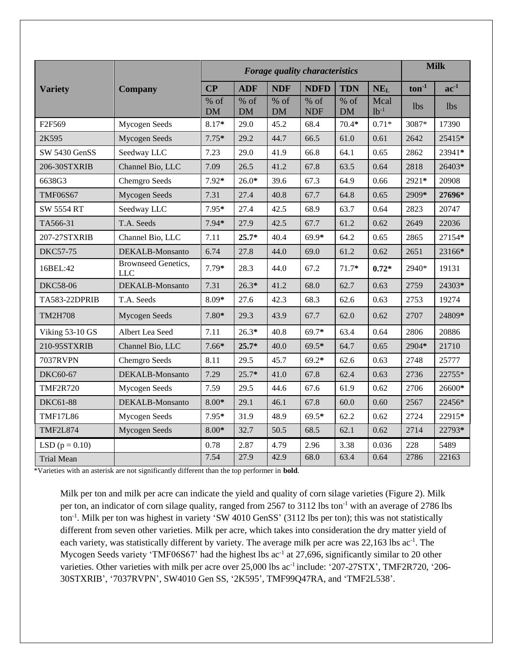|                      | <b>Forage quality characteristics</b>    |                     |                     |                     |                      |                     | <b>Milk</b>       |                   |            |
|----------------------|------------------------------------------|---------------------|---------------------|---------------------|----------------------|---------------------|-------------------|-------------------|------------|
| <b>Variety</b>       | <b>Company</b>                           | CP                  | <b>ADF</b>          | <b>NDF</b>          | <b>NDFD</b>          | <b>TDN</b>          | NE <sub>L</sub>   | $\text{ton}^{-1}$ | $ac^{-1}$  |
|                      |                                          | $%$ of<br><b>DM</b> | $%$ of<br><b>DM</b> | $%$ of<br><b>DM</b> | $%$ of<br><b>NDF</b> | $%$ of<br><b>DM</b> | Mcal<br>$1b^{-1}$ | lbs.              | <b>lbs</b> |
| F2F569               | Mycogen Seeds                            | 8.17*               | 29.0                | 45.2                | 68.4                 | $70.4*$             | $0.71*$           | 3087*             | 17390      |
| 2K595                | Mycogen Seeds                            | $7.75*$             | 29.2                | 44.7                | 66.5                 | 61.0                | 0.61              | 2642              | 25415*     |
| SW 5430 GenSS        | Seedway LLC                              | 7.23                | 29.0                | 41.9                | 66.8                 | 64.1                | 0.65              | 2862              | 23941*     |
| 206-30STXRIB         | Channel Bio, LLC                         | 7.09                | 26.5                | 41.2                | 67.8                 | 63.5                | 0.64              | 2818              | 26403*     |
| 6638G3               | Chemgro Seeds                            | $7.92*$             | $26.0*$             | 39.6                | 67.3                 | 64.9                | 0.66              | 2921*             | 20908      |
| <b>TMF06S67</b>      | Mycogen Seeds                            | 7.31                | 27.4                | 40.8                | 67.7                 | 64.8                | 0.65              | 2909*             | 27696*     |
| <b>SW 5554 RT</b>    | Seedway LLC                              | 7.95*               | 27.4                | 42.5                | 68.9                 | 63.7                | 0.64              | 2823              | 20747      |
| TA566-31             | T.A. Seeds                               | $7.94*$             | 27.9                | 42.5                | 67.7                 | 61.2                | 0.62              | 2649              | 22036      |
| 207-27STXRIB         | Channel Bio, LLC                         | 7.11                | $25.7*$             | 40.4                | $69.9*$              | 64.2                | 0.65              | 2865              | 27154*     |
| <b>DKC57-75</b>      | DEKALB-Monsanto                          | 6.74                | 27.8                | 44.0                | 69.0                 | 61.2                | 0.62              | 2651              | 23166*     |
| 16BEL:42             | <b>Brownseed Genetics,</b><br><b>LLC</b> | $7.79*$             | 28.3                | 44.0                | 67.2                 | $71.7*$             | $0.72*$           | 2940*             | 19131      |
| <b>DKC58-06</b>      | DEKALB-Monsanto                          | 7.31                | $26.3*$             | 41.2                | 68.0                 | 62.7                | 0.63              | 2759              | 24303*     |
| <b>TA583-22DPRIB</b> | T.A. Seeds                               | $8.09*$             | 27.6                | 42.3                | 68.3                 | 62.6                | 0.63              | 2753              | 19274      |
| <b>TM2H708</b>       | Mycogen Seeds                            | $7.80*$             | 29.3                | 43.9                | 67.7                 | 62.0                | 0.62              | 2707              | 24809*     |
| Viking 53-10 GS      | Albert Lea Seed                          | 7.11                | $26.3*$             | 40.8                | $69.7*$              | 63.4                | 0.64              | 2806              | 20886      |
| 210-95STXRIB         | Channel Bio, LLC                         | $7.66*$             | $25.7*$             | 40.0                | $69.5*$              | 64.7                | 0.65              | 2904*             | 21710      |
| <b>7037RVPN</b>      | Chemgro Seeds                            | 8.11                | 29.5                | 45.7                | $69.2*$              | 62.6                | 0.63              | 2748              | 25777      |
| DKC60-67             | DEKALB-Monsanto                          | 7.29                | $25.7*$             | 41.0                | 67.8                 | 62.4                | 0.63              | 2736              | 22755*     |
| <b>TMF2R720</b>      | Mycogen Seeds                            | 7.59                | 29.5                | 44.6                | 67.6                 | 61.9                | 0.62              | 2706              | 26600*     |
| <b>DKC61-88</b>      | DEKALB-Monsanto                          | $8.00*$             | 29.1                | 46.1                | 67.8                 | 60.0                | 0.60              | 2567              | 22456*     |
| <b>TMF17L86</b>      | Mycogen Seeds                            | 7.95*               | 31.9                | 48.9                | $69.5*$              | 62.2                | 0.62              | 2724              | 22915*     |
| <b>TMF2L874</b>      | Mycogen Seeds                            | $8.00*$             | 32.7                | 50.5                | 68.5                 | 62.1                | 0.62              | 2714              | 22793*     |
| LSD $(p = 0.10)$     |                                          | 0.78                | 2.87                | 4.79                | 2.96                 | 3.38                | 0.036             | 228               | 5489       |
| <b>Trial Mean</b>    |                                          | 7.54                | 27.9                | 42.9                | 68.0                 | 63.4                | 0.64              | 2786              | 22163      |

\*Varieties with an asterisk are not significantly different than the top performer in **bold**.

Milk per ton and milk per acre can indicate the yield and quality of corn silage varieties (Figure 2). Milk per ton, an indicator of corn silage quality, ranged from 2567 to 3112 lbs ton<sup>-1</sup> with an average of 2786 lbs ton<sup>-1</sup>. Milk per ton was highest in variety 'SW 4010 GenSS' (3112 lbs per ton); this was not statistically different from seven other varieties. Milk per acre, which takes into consideration the dry matter yield of each variety, was statistically different by variety. The average milk per acre was 22,163 lbs ac<sup>-1</sup>. The Mycogen Seeds variety 'TMF06S67' had the highest lbs ac<sup>-1</sup> at 27,696, significantly similar to 20 other varieties. Other varieties with milk per acre over 25,000 lbs ac<sup>-1</sup> include: '207-27STX', TMF2R720, '206-30STXRIB', '7037RVPN', SW4010 Gen SS, '2K595', TMF99Q47RA, and 'TMF2L538'.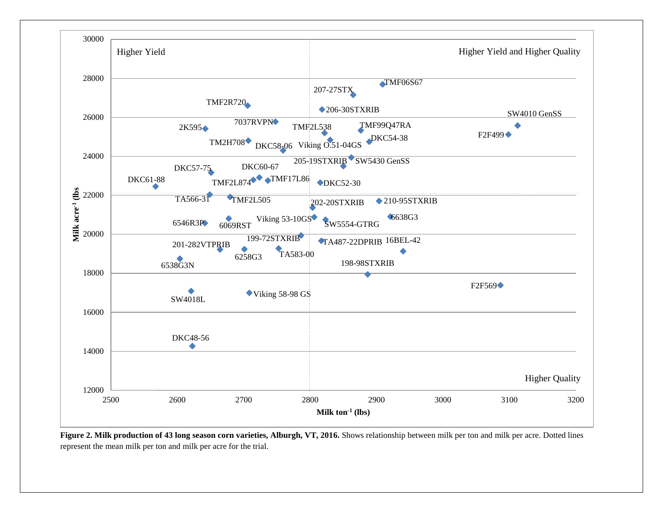

**Figure 2. Milk production of 43 long season corn varieties, Alburgh, VT, 2016.** Shows relationship between milk per ton and milk per acre. Dotted lines represent the mean milk per ton and milk per acre for the trial.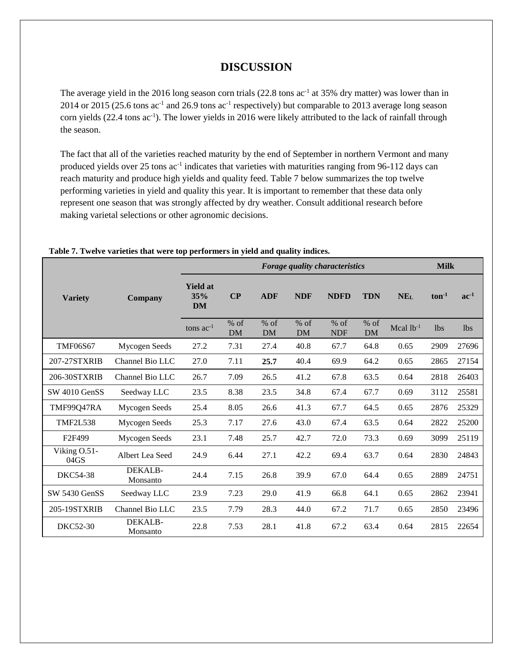# **DISCUSSION**

The average yield in the 2016 long season corn trials  $(22.8 \text{ tons} \text{ ac}^{-1} \text{ at } 35\% \text{ dry matter})$  was lower than in 2014 or 2015 (25.6 tons  $ac^{-1}$  and 26.9 tons  $ac^{-1}$  respectively) but comparable to 2013 average long season corn yields (22.4 tons ac<sup>-1</sup>). The lower yields in 2016 were likely attributed to the lack of rainfall through the season.

The fact that all of the varieties reached maturity by the end of September in northern Vermont and many produced yields over 25 tons ac<sup>-1</sup> indicates that varieties with maturities ranging from 96-112 days can reach maturity and produce high yields and quality feed. Table 7 below summarizes the top twelve performing varieties in yield and quality this year. It is important to remember that these data only represent one season that was strongly affected by dry weather. Consult additional research before making varietal selections or other agronomic decisions.

|                      | . .<br>Forage quality characteristics |                                     |                     |                     |                     |                      |                     | <b>Milk</b> |                 |                 |  |
|----------------------|---------------------------------------|-------------------------------------|---------------------|---------------------|---------------------|----------------------|---------------------|-------------|-----------------|-----------------|--|
|                      |                                       |                                     |                     |                     |                     |                      |                     |             |                 |                 |  |
| <b>Variety</b>       | Company                               | <b>Yield at</b><br>35%<br><b>DM</b> | $\bf CP$            | <b>ADF</b>          | <b>NDF</b>          | <b>NDFD</b>          | <b>TDN</b>          | <b>NEL</b>  | $\tan^{-1}$     | $ac-1$          |  |
|                      |                                       | tons $ac^{-1}$                      | $%$ of<br><b>DM</b> | $%$ of<br><b>DM</b> | $%$ of<br><b>DM</b> | $%$ of<br><b>NDF</b> | $%$ of<br><b>DM</b> | Mcal $lb-1$ | 1 <sub>bs</sub> | 1 <sub>bs</sub> |  |
| <b>TMF06S67</b>      | Mycogen Seeds                         | 27.2                                | 7.31                | 27.4                | 40.8                | 67.7                 | 64.8                | 0.65        | 2909            | 27696           |  |
| 207-27STXRIB         | Channel Bio LLC                       | 27.0                                | 7.11                | 25.7                | 40.4                | 69.9                 | 64.2                | 0.65        | 2865            | 27154           |  |
| 206-30STXRIB         | Channel Bio LLC                       | 26.7                                | 7.09                | 26.5                | 41.2                | 67.8                 | 63.5                | 0.64        | 2818            | 26403           |  |
| SW 4010 GenSS        | Seedway LLC                           | 23.5                                | 8.38                | 23.5                | 34.8                | 67.4                 | 67.7                | 0.69        | 3112            | 25581           |  |
| TMF99Q47RA           | Mycogen Seeds                         | 25.4                                | 8.05                | 26.6                | 41.3                | 67.7                 | 64.5                | 0.65        | 2876            | 25329           |  |
| <b>TMF2L538</b>      | Mycogen Seeds                         | 25.3                                | 7.17                | 27.6                | 43.0                | 67.4                 | 63.5                | 0.64        | 2822            | 25200           |  |
| F <sub>2F499</sub>   | Mycogen Seeds                         | 23.1                                | 7.48                | 25.7                | 42.7                | 72.0                 | 73.3                | 0.69        | 3099            | 25119           |  |
| Viking O.51-<br>04GS | Albert Lea Seed                       | 24.9                                | 6.44                | 27.1                | 42.2                | 69.4                 | 63.7                | 0.64        | 2830            | 24843           |  |
| <b>DKC54-38</b>      | DEKALB-<br>Monsanto                   | 24.4                                | 7.15                | 26.8                | 39.9                | 67.0                 | 64.4                | 0.65        | 2889            | 24751           |  |
| SW 5430 GenSS        | Seedway LLC                           | 23.9                                | 7.23                | 29.0                | 41.9                | 66.8                 | 64.1                | 0.65        | 2862            | 23941           |  |
| 205-19STXRIB         | Channel Bio LLC                       | 23.5                                | 7.79                | 28.3                | 44.0                | 67.2                 | 71.7                | 0.65        | 2850            | 23496           |  |
| DKC52-30             | DEKALB-<br>Monsanto                   | 22.8                                | 7.53                | 28.1                | 41.8                | 67.2                 | 63.4                | 0.64        | 2815            | 22654           |  |

## **Table 7. Twelve varieties that were top performers in yield and quality indices.**